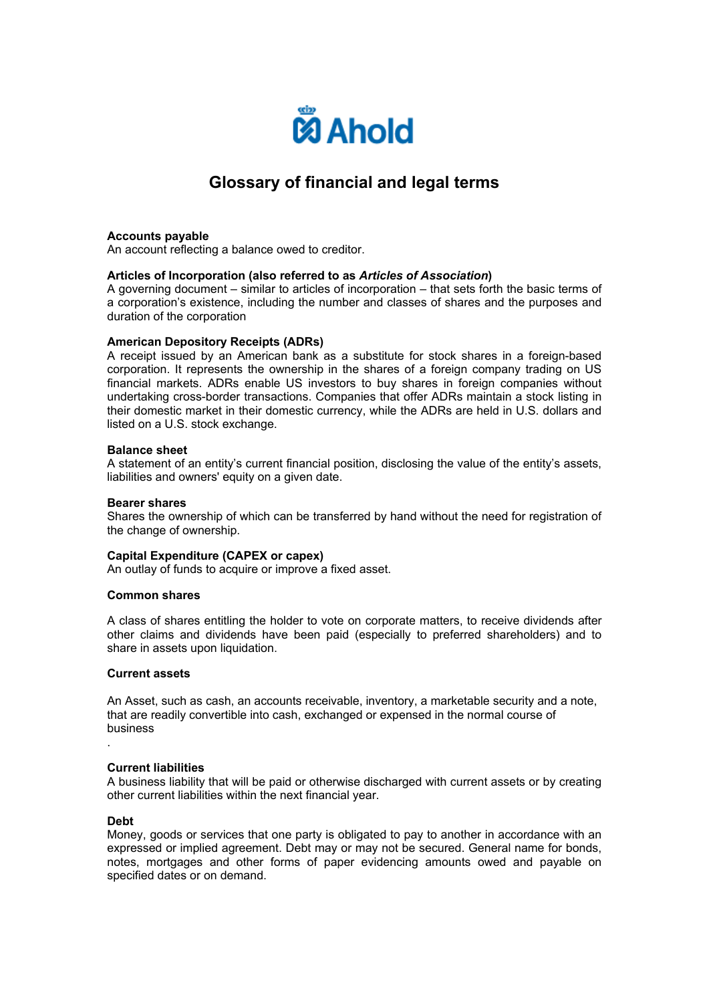

# **Glossary of financial and legal terms**

#### **Accounts payable**

An account reflecting a balance owed to creditor.

# **Articles of Incorporation (also referred to as** *Articles of Association***)**

A governing document – similar to articles of incorporation – that sets forth the basic terms of a corporation's existence, including the number and classes of shares and the purposes and duration of the corporation

#### **American Depository Receipts (ADRs)**

A receipt issued by an American bank as a substitute for stock shares in a foreign-based corporation. It represents the ownership in the shares of a foreign company trading on US financial markets. ADRs enable US investors to buy shares in foreign companies without undertaking cross-border transactions. Companies that offer ADRs maintain a stock listing in their domestic market in their domestic currency, while the ADRs are held in U.S. dollars and listed on a U.S. stock exchange.

#### **Balance sheet**

A statement of an entity's current financial position, disclosing the value of the entity's assets, liabilities and owners' equity on a given date.

#### **Bearer shares**

Shares the ownership of which can be transferred by hand without the need for registration of the change of ownership.

# **Capital Expenditure (CAPEX or capex)**

An outlay of funds to acquire or improve a fixed asset.

#### **Common shares**

A class of shares entitling the holder to vote on corporate matters, to receive dividends after other claims and dividends have been paid (especially to preferred shareholders) and to share in assets upon liquidation.

# **Current assets**

An Asset, such as cash, an accounts receivable, inventory, a marketable security and a note, that are readily convertible into cash, exchanged or expensed in the normal course of business

# **Current liabilities**

A business liability that will be paid or otherwise discharged with current assets or by creating other current liabilities within the next financial year.

#### **Debt**

.

Money, goods or services that one party is obligated to pay to another in accordance with an expressed or implied agreement. Debt may or may not be secured. General name for bonds, notes, mortgages and other forms of paper evidencing amounts owed and payable on specified dates or on demand.